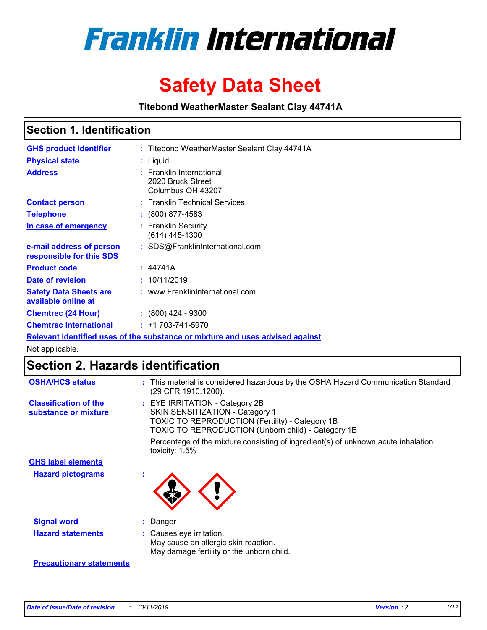

# **Safety Data Sheet**

**Titebond WeatherMaster Sealant Clay 44741A**

### **Section 1. Identification**

| <b>GHS product identifier</b>                        | : Titebond WeatherMaster Sealant Clay 44741A                                  |
|------------------------------------------------------|-------------------------------------------------------------------------------|
| <b>Physical state</b>                                | : Liquid.                                                                     |
| <b>Address</b>                                       | : Franklin International<br>2020 Bruck Street<br>Columbus OH 43207            |
| <b>Contact person</b>                                | : Franklin Technical Services                                                 |
| <b>Telephone</b>                                     | $\colon$ (800) 877-4583                                                       |
| In case of emergency                                 | : Franklin Security<br>(614) 445-1300                                         |
| e-mail address of person<br>responsible for this SDS | : SDS@FranklinInternational.com                                               |
| <b>Product code</b>                                  | : 44741A                                                                      |
| Date of revision                                     | : 10/11/2019                                                                  |
| <b>Safety Data Sheets are</b><br>available online at | : www.FranklinInternational.com                                               |
| <b>Chemtrec (24 Hour)</b>                            | $\div$ (800) 424 - 9300                                                       |
| <b>Chemtrec International</b>                        | $: +1703 - 741 - 5970$                                                        |
|                                                      | Relevant identified uses of the substance or mixture and uses advised against |

Not applicable.

## **Section 2. Hazards identification**

| <b>OSHA/HCS status</b>                               | : This material is considered hazardous by the OSHA Hazard Communication Standard<br>(29 CFR 1910.1200).                                                                                 |
|------------------------------------------------------|------------------------------------------------------------------------------------------------------------------------------------------------------------------------------------------|
| <b>Classification of the</b><br>substance or mixture | : EYE IRRITATION - Category 2B<br>SKIN SENSITIZATION - Category 1<br><b>TOXIC TO REPRODUCTION (Fertility) - Category 1B</b><br><b>TOXIC TO REPRODUCTION (Unborn child) - Category 1B</b> |
|                                                      | Percentage of the mixture consisting of ingredient(s) of unknown acute inhalation<br>toxicity: $1.5\%$                                                                                   |
| <b>GHS label elements</b>                            |                                                                                                                                                                                          |
| <b>Hazard pictograms</b>                             |                                                                                                                                                                                          |
| <b>Signal word</b>                                   | : Danger                                                                                                                                                                                 |
| <b>Hazard statements</b>                             | : Causes eye irritation.<br>May cause an allergic skin reaction.<br>May damage fertility or the unborn child.                                                                            |
| <b>Precautionary statements</b>                      |                                                                                                                                                                                          |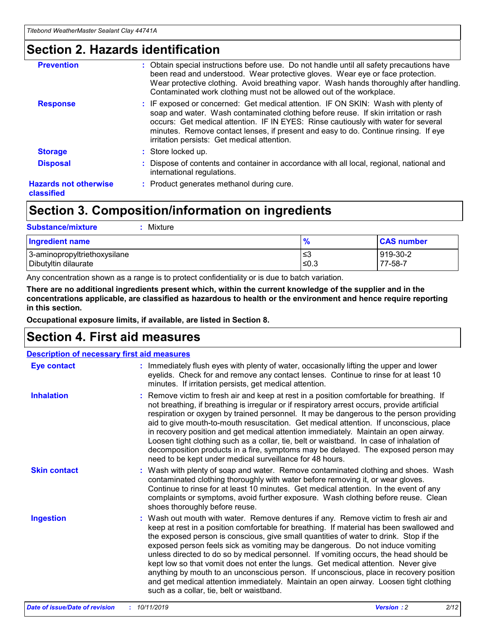### **Section 2. Hazards identification**

| <b>Prevention</b>                          | : Obtain special instructions before use. Do not handle until all safety precautions have<br>been read and understood. Wear protective gloves. Wear eye or face protection.<br>Wear protective clothing. Avoid breathing vapor. Wash hands thoroughly after handling.<br>Contaminated work clothing must not be allowed out of the workplace.                                                        |
|--------------------------------------------|------------------------------------------------------------------------------------------------------------------------------------------------------------------------------------------------------------------------------------------------------------------------------------------------------------------------------------------------------------------------------------------------------|
| <b>Response</b>                            | : IF exposed or concerned: Get medical attention. IF ON SKIN: Wash with plenty of<br>soap and water. Wash contaminated clothing before reuse. If skin irritation or rash<br>occurs: Get medical attention. IF IN EYES: Rinse cautiously with water for several<br>minutes. Remove contact lenses, if present and easy to do. Continue rinsing. If eye<br>irritation persists: Get medical attention. |
| <b>Storage</b>                             | : Store locked up.                                                                                                                                                                                                                                                                                                                                                                                   |
| <b>Disposal</b>                            | : Dispose of contents and container in accordance with all local, regional, national and<br>international regulations.                                                                                                                                                                                                                                                                               |
| <b>Hazards not otherwise</b><br>classified | : Product generates methanol during cure.                                                                                                                                                                                                                                                                                                                                                            |
|                                            |                                                                                                                                                                                                                                                                                                                                                                                                      |

## **Section 3. Composition/information on ingredients**

| <b>Substance/mixture</b><br>: Mixture                |               |                     |
|------------------------------------------------------|---------------|---------------------|
| Ingredient name                                      | $\frac{9}{6}$ | <b>CAS number</b>   |
| 3-aminopropyltriethoxysilane<br>Dibutyltin dilaurate | צ≥<br>≤0.3    | 919-30-2<br>77-58-7 |

Any concentration shown as a range is to protect confidentiality or is due to batch variation.

**There are no additional ingredients present which, within the current knowledge of the supplier and in the concentrations applicable, are classified as hazardous to health or the environment and hence require reporting in this section.**

**Occupational exposure limits, if available, are listed in Section 8.**

## **Section 4. First aid measures**

| <b>Description of necessary first aid measures</b> |                                                                                                                                                                                                                                                                                                                                                                                                                                                                                                                                                                                                                                                                                                                                                                           |  |  |  |
|----------------------------------------------------|---------------------------------------------------------------------------------------------------------------------------------------------------------------------------------------------------------------------------------------------------------------------------------------------------------------------------------------------------------------------------------------------------------------------------------------------------------------------------------------------------------------------------------------------------------------------------------------------------------------------------------------------------------------------------------------------------------------------------------------------------------------------------|--|--|--|
| <b>Eye contact</b>                                 | : Immediately flush eyes with plenty of water, occasionally lifting the upper and lower<br>eyelids. Check for and remove any contact lenses. Continue to rinse for at least 10<br>minutes. If irritation persists, get medical attention.                                                                                                                                                                                                                                                                                                                                                                                                                                                                                                                                 |  |  |  |
| <b>Inhalation</b>                                  | : Remove victim to fresh air and keep at rest in a position comfortable for breathing. If<br>not breathing, if breathing is irregular or if respiratory arrest occurs, provide artificial<br>respiration or oxygen by trained personnel. It may be dangerous to the person providing<br>aid to give mouth-to-mouth resuscitation. Get medical attention. If unconscious, place<br>in recovery position and get medical attention immediately. Maintain an open airway.<br>Loosen tight clothing such as a collar, tie, belt or waistband. In case of inhalation of<br>decomposition products in a fire, symptoms may be delayed. The exposed person may<br>need to be kept under medical surveillance for 48 hours.                                                       |  |  |  |
| <b>Skin contact</b>                                | : Wash with plenty of soap and water. Remove contaminated clothing and shoes. Wash<br>contaminated clothing thoroughly with water before removing it, or wear gloves.<br>Continue to rinse for at least 10 minutes. Get medical attention. In the event of any<br>complaints or symptoms, avoid further exposure. Wash clothing before reuse. Clean<br>shoes thoroughly before reuse.                                                                                                                                                                                                                                                                                                                                                                                     |  |  |  |
| <b>Ingestion</b>                                   | : Wash out mouth with water. Remove dentures if any. Remove victim to fresh air and<br>keep at rest in a position comfortable for breathing. If material has been swallowed and<br>the exposed person is conscious, give small quantities of water to drink. Stop if the<br>exposed person feels sick as vomiting may be dangerous. Do not induce vomiting<br>unless directed to do so by medical personnel. If vomiting occurs, the head should be<br>kept low so that vomit does not enter the lungs. Get medical attention. Never give<br>anything by mouth to an unconscious person. If unconscious, place in recovery position<br>and get medical attention immediately. Maintain an open airway. Loosen tight clothing<br>such as a collar, tie, belt or waistband. |  |  |  |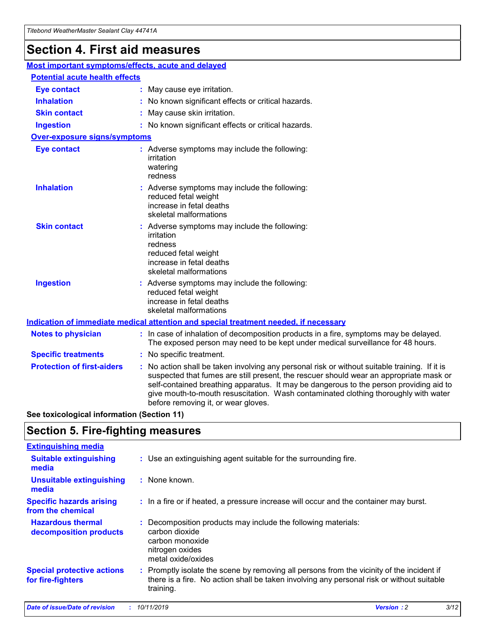## **Section 4. First aid measures**

| Most important symptoms/effects, acute and delayed |                                       |                                                                                                                                                                                                                                                                                                                                                                                                                 |  |  |  |
|----------------------------------------------------|---------------------------------------|-----------------------------------------------------------------------------------------------------------------------------------------------------------------------------------------------------------------------------------------------------------------------------------------------------------------------------------------------------------------------------------------------------------------|--|--|--|
|                                                    | <b>Potential acute health effects</b> |                                                                                                                                                                                                                                                                                                                                                                                                                 |  |  |  |
| <b>Eye contact</b>                                 |                                       | : May cause eye irritation.                                                                                                                                                                                                                                                                                                                                                                                     |  |  |  |
| <b>Inhalation</b>                                  |                                       | : No known significant effects or critical hazards.                                                                                                                                                                                                                                                                                                                                                             |  |  |  |
| <b>Skin contact</b>                                |                                       | : May cause skin irritation.                                                                                                                                                                                                                                                                                                                                                                                    |  |  |  |
| <b>Ingestion</b>                                   |                                       | : No known significant effects or critical hazards.                                                                                                                                                                                                                                                                                                                                                             |  |  |  |
| <b>Over-exposure signs/symptoms</b>                |                                       |                                                                                                                                                                                                                                                                                                                                                                                                                 |  |  |  |
| <b>Eye contact</b>                                 |                                       | : Adverse symptoms may include the following:<br>irritation<br>watering<br>redness                                                                                                                                                                                                                                                                                                                              |  |  |  |
| <b>Inhalation</b>                                  |                                       | : Adverse symptoms may include the following:<br>reduced fetal weight<br>increase in fetal deaths<br>skeletal malformations                                                                                                                                                                                                                                                                                     |  |  |  |
| <b>Skin contact</b>                                |                                       | : Adverse symptoms may include the following:<br>irritation<br>redness<br>reduced fetal weight<br>increase in fetal deaths<br>skeletal malformations                                                                                                                                                                                                                                                            |  |  |  |
| <b>Ingestion</b>                                   |                                       | : Adverse symptoms may include the following:<br>reduced fetal weight<br>increase in fetal deaths<br>skeletal malformations                                                                                                                                                                                                                                                                                     |  |  |  |
|                                                    |                                       | <b>Indication of immediate medical attention and special treatment needed, if necessary</b>                                                                                                                                                                                                                                                                                                                     |  |  |  |
| <b>Notes to physician</b>                          |                                       | : In case of inhalation of decomposition products in a fire, symptoms may be delayed.<br>The exposed person may need to be kept under medical surveillance for 48 hours.                                                                                                                                                                                                                                        |  |  |  |
| <b>Specific treatments</b>                         |                                       | : No specific treatment.                                                                                                                                                                                                                                                                                                                                                                                        |  |  |  |
| <b>Protection of first-aiders</b>                  |                                       | : No action shall be taken involving any personal risk or without suitable training. If it is<br>suspected that fumes are still present, the rescuer should wear an appropriate mask or<br>self-contained breathing apparatus. It may be dangerous to the person providing aid to<br>give mouth-to-mouth resuscitation. Wash contaminated clothing thoroughly with water<br>before removing it, or wear gloves. |  |  |  |

**See toxicological information (Section 11)**

### **Section 5. Fire-fighting measures**

| <b>Extinguishing media</b>                             |                                                                                                                                                                                                     |
|--------------------------------------------------------|-----------------------------------------------------------------------------------------------------------------------------------------------------------------------------------------------------|
| <b>Suitable extinguishing</b><br>media                 | : Use an extinguishing agent suitable for the surrounding fire.                                                                                                                                     |
| <b>Unsuitable extinguishing</b><br>media               | $:$ None known.                                                                                                                                                                                     |
| <b>Specific hazards arising</b><br>from the chemical   | : In a fire or if heated, a pressure increase will occur and the container may burst.                                                                                                               |
| <b>Hazardous thermal</b><br>decomposition products     | : Decomposition products may include the following materials:<br>carbon dioxide<br>carbon monoxide<br>nitrogen oxides<br>metal oxide/oxides                                                         |
| <b>Special protective actions</b><br>for fire-fighters | : Promptly isolate the scene by removing all persons from the vicinity of the incident if<br>there is a fire. No action shall be taken involving any personal risk or without suitable<br>training. |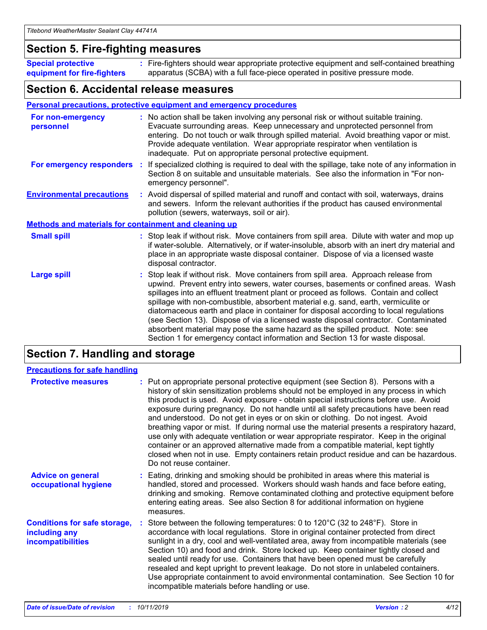### **Section 5. Fire-fighting measures**

**Special protective equipment for fire-fighters** Fire-fighters should wear appropriate protective equipment and self-contained breathing **:** apparatus (SCBA) with a full face-piece operated in positive pressure mode.

### **Section 6. Accidental release measures**

#### **Personal precautions, protective equipment and emergency procedures**

| For non-emergency<br>personnel                               | : No action shall be taken involving any personal risk or without suitable training.<br>Evacuate surrounding areas. Keep unnecessary and unprotected personnel from<br>entering. Do not touch or walk through spilled material. Avoid breathing vapor or mist.<br>Provide adequate ventilation. Wear appropriate respirator when ventilation is<br>inadequate. Put on appropriate personal protective equipment.                                                                                                                                                                                                                                                                                             |
|--------------------------------------------------------------|--------------------------------------------------------------------------------------------------------------------------------------------------------------------------------------------------------------------------------------------------------------------------------------------------------------------------------------------------------------------------------------------------------------------------------------------------------------------------------------------------------------------------------------------------------------------------------------------------------------------------------------------------------------------------------------------------------------|
| For emergency responders                                     | : If specialized clothing is required to deal with the spillage, take note of any information in<br>Section 8 on suitable and unsuitable materials. See also the information in "For non-<br>emergency personnel".                                                                                                                                                                                                                                                                                                                                                                                                                                                                                           |
| <b>Environmental precautions</b>                             | : Avoid dispersal of spilled material and runoff and contact with soil, waterways, drains<br>and sewers. Inform the relevant authorities if the product has caused environmental<br>pollution (sewers, waterways, soil or air).                                                                                                                                                                                                                                                                                                                                                                                                                                                                              |
| <b>Methods and materials for containment and cleaning up</b> |                                                                                                                                                                                                                                                                                                                                                                                                                                                                                                                                                                                                                                                                                                              |
| <b>Small spill</b>                                           | : Stop leak if without risk. Move containers from spill area. Dilute with water and mop up<br>if water-soluble. Alternatively, or if water-insoluble, absorb with an inert dry material and<br>place in an appropriate waste disposal container. Dispose of via a licensed waste<br>disposal contractor.                                                                                                                                                                                                                                                                                                                                                                                                     |
| <b>Large spill</b>                                           | : Stop leak if without risk. Move containers from spill area. Approach release from<br>upwind. Prevent entry into sewers, water courses, basements or confined areas. Wash<br>spillages into an effluent treatment plant or proceed as follows. Contain and collect<br>spillage with non-combustible, absorbent material e.g. sand, earth, vermiculite or<br>diatomaceous earth and place in container for disposal according to local regulations<br>(see Section 13). Dispose of via a licensed waste disposal contractor. Contaminated<br>absorbent material may pose the same hazard as the spilled product. Note: see<br>Section 1 for emergency contact information and Section 13 for waste disposal. |

### **Section 7. Handling and storage**

| <b>Precautions for safe handling</b>                                             |                                                                                                                                                                                                                                                                                                                                                                                                                                                                                                                                                                                                                                                                                                                                                                                                                                                  |
|----------------------------------------------------------------------------------|--------------------------------------------------------------------------------------------------------------------------------------------------------------------------------------------------------------------------------------------------------------------------------------------------------------------------------------------------------------------------------------------------------------------------------------------------------------------------------------------------------------------------------------------------------------------------------------------------------------------------------------------------------------------------------------------------------------------------------------------------------------------------------------------------------------------------------------------------|
| <b>Protective measures</b>                                                       | : Put on appropriate personal protective equipment (see Section 8). Persons with a<br>history of skin sensitization problems should not be employed in any process in which<br>this product is used. Avoid exposure - obtain special instructions before use. Avoid<br>exposure during pregnancy. Do not handle until all safety precautions have been read<br>and understood. Do not get in eyes or on skin or clothing. Do not ingest. Avoid<br>breathing vapor or mist. If during normal use the material presents a respiratory hazard,<br>use only with adequate ventilation or wear appropriate respirator. Keep in the original<br>container or an approved alternative made from a compatible material, kept tightly<br>closed when not in use. Empty containers retain product residue and can be hazardous.<br>Do not reuse container. |
| <b>Advice on general</b><br>occupational hygiene                                 | : Eating, drinking and smoking should be prohibited in areas where this material is<br>handled, stored and processed. Workers should wash hands and face before eating,<br>drinking and smoking. Remove contaminated clothing and protective equipment before<br>entering eating areas. See also Section 8 for additional information on hygiene<br>measures.                                                                                                                                                                                                                                                                                                                                                                                                                                                                                    |
| <b>Conditions for safe storage,</b><br>including any<br><b>incompatibilities</b> | Store between the following temperatures: 0 to 120°C (32 to 248°F). Store in<br>accordance with local regulations. Store in original container protected from direct<br>sunlight in a dry, cool and well-ventilated area, away from incompatible materials (see<br>Section 10) and food and drink. Store locked up. Keep container tightly closed and<br>sealed until ready for use. Containers that have been opened must be carefully<br>resealed and kept upright to prevent leakage. Do not store in unlabeled containers.<br>Use appropriate containment to avoid environmental contamination. See Section 10 for<br>incompatible materials before handling or use.                                                                                                                                                                         |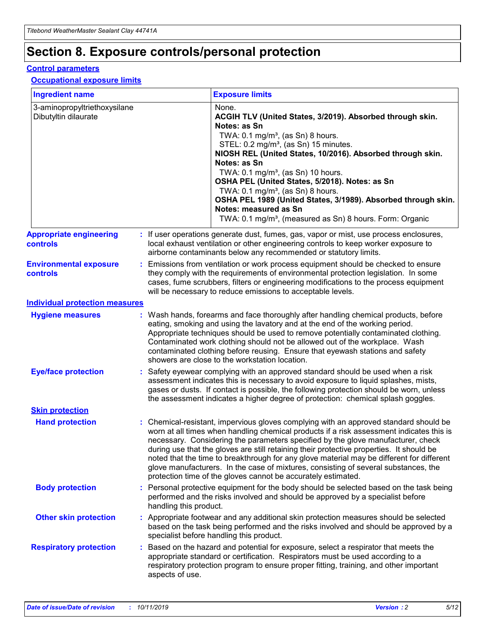## **Section 8. Exposure controls/personal protection**

#### **Control parameters**

#### **Occupational exposure limits**

| <b>Ingredient name</b>                               |    |                        | <b>Exposure limits</b>                                                                                                                                                                                                                                                                                                                                                                                                                                                                                                                                                                                                 |
|------------------------------------------------------|----|------------------------|------------------------------------------------------------------------------------------------------------------------------------------------------------------------------------------------------------------------------------------------------------------------------------------------------------------------------------------------------------------------------------------------------------------------------------------------------------------------------------------------------------------------------------------------------------------------------------------------------------------------|
| 3-aminopropyltriethoxysilane<br>Dibutyltin dilaurate |    |                        | None.<br>ACGIH TLV (United States, 3/2019). Absorbed through skin.<br>Notes: as Sn<br>TWA: $0.1 \text{ mg/m}^3$ , (as Sn) 8 hours.<br>STEL: 0.2 mg/m <sup>3</sup> , (as Sn) 15 minutes.<br>NIOSH REL (United States, 10/2016). Absorbed through skin.<br>Notes: as Sn<br>TWA: 0.1 mg/m <sup>3</sup> , (as Sn) 10 hours.<br>OSHA PEL (United States, 5/2018). Notes: as Sn<br>TWA: 0.1 mg/m <sup>3</sup> , (as Sn) 8 hours.<br>OSHA PEL 1989 (United States, 3/1989). Absorbed through skin.<br>Notes: measured as Sn<br>TWA: 0.1 mg/m <sup>3</sup> , (measured as Sn) 8 hours. Form: Organic                           |
| <b>Appropriate engineering</b><br>controls           |    |                        | : If user operations generate dust, fumes, gas, vapor or mist, use process enclosures,<br>local exhaust ventilation or other engineering controls to keep worker exposure to<br>airborne contaminants below any recommended or statutory limits.                                                                                                                                                                                                                                                                                                                                                                       |
| <b>Environmental exposure</b><br>controls            |    |                        | Emissions from ventilation or work process equipment should be checked to ensure<br>they comply with the requirements of environmental protection legislation. In some<br>cases, fume scrubbers, filters or engineering modifications to the process equipment<br>will be necessary to reduce emissions to acceptable levels.                                                                                                                                                                                                                                                                                          |
| <b>Individual protection measures</b>                |    |                        |                                                                                                                                                                                                                                                                                                                                                                                                                                                                                                                                                                                                                        |
| <b>Hygiene measures</b>                              |    |                        | : Wash hands, forearms and face thoroughly after handling chemical products, before<br>eating, smoking and using the lavatory and at the end of the working period.<br>Appropriate techniques should be used to remove potentially contaminated clothing.<br>Contaminated work clothing should not be allowed out of the workplace. Wash<br>contaminated clothing before reusing. Ensure that eyewash stations and safety<br>showers are close to the workstation location.                                                                                                                                            |
| <b>Eye/face protection</b>                           |    |                        | Safety eyewear complying with an approved standard should be used when a risk<br>assessment indicates this is necessary to avoid exposure to liquid splashes, mists,<br>gases or dusts. If contact is possible, the following protection should be worn, unless<br>the assessment indicates a higher degree of protection: chemical splash goggles.                                                                                                                                                                                                                                                                    |
| <b>Skin protection</b>                               |    |                        |                                                                                                                                                                                                                                                                                                                                                                                                                                                                                                                                                                                                                        |
| <b>Hand protection</b>                               |    |                        | : Chemical-resistant, impervious gloves complying with an approved standard should be<br>worn at all times when handling chemical products if a risk assessment indicates this is<br>necessary. Considering the parameters specified by the glove manufacturer, check<br>during use that the gloves are still retaining their protective properties. It should be<br>noted that the time to breakthrough for any glove material may be different for different<br>glove manufacturers. In the case of mixtures, consisting of several substances, the<br>protection time of the gloves cannot be accurately estimated. |
| <b>Body protection</b>                               |    | handling this product. | Personal protective equipment for the body should be selected based on the task being<br>performed and the risks involved and should be approved by a specialist before                                                                                                                                                                                                                                                                                                                                                                                                                                                |
| <b>Other skin protection</b>                         |    |                        | : Appropriate footwear and any additional skin protection measures should be selected<br>based on the task being performed and the risks involved and should be approved by a<br>specialist before handling this product.                                                                                                                                                                                                                                                                                                                                                                                              |
| <b>Respiratory protection</b>                        | ÷. | aspects of use.        | Based on the hazard and potential for exposure, select a respirator that meets the<br>appropriate standard or certification. Respirators must be used according to a<br>respiratory protection program to ensure proper fitting, training, and other important                                                                                                                                                                                                                                                                                                                                                         |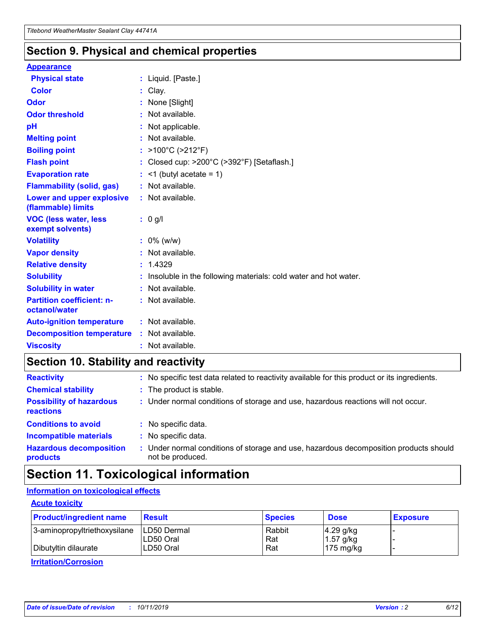### **Section 9. Physical and chemical properties**

#### **Appearance**

| <b>Physical state</b>                             | : Liquid. [Paste.]                                              |
|---------------------------------------------------|-----------------------------------------------------------------|
| Color                                             | Clay.                                                           |
| Odor                                              | : None [Slight]                                                 |
| <b>Odor threshold</b>                             | : Not available.                                                |
| рH                                                | : Not applicable.                                               |
| <b>Melting point</b>                              | : Not available.                                                |
| <b>Boiling point</b>                              | : >100°C (>212°F)                                               |
| <b>Flash point</b>                                | : Closed cup: >200°C (>392°F) [Setaflash.]                      |
| <b>Evaporation rate</b>                           | $:$ <1 (butyl acetate = 1)                                      |
| <b>Flammability (solid, gas)</b>                  | : Not available.                                                |
| Lower and upper explosive<br>(flammable) limits   | : Not available.                                                |
| <b>VOC (less water, less</b><br>exempt solvents)  | : 0 g/l                                                         |
| <b>Volatility</b>                                 | $: 0\%$ (w/w)                                                   |
| <b>Vapor density</b>                              | : Not available.                                                |
| <b>Relative density</b>                           | : 1.4329                                                        |
| <b>Solubility</b>                                 | Insoluble in the following materials: cold water and hot water. |
| <b>Solubility in water</b>                        | : Not available.                                                |
| <b>Partition coefficient: n-</b><br>octanol/water | $:$ Not available.                                              |
| <b>Auto-ignition temperature</b>                  | : Not available.                                                |
| <b>Decomposition temperature</b>                  | : Not available.                                                |
| <b>Viscosity</b>                                  |                                                                 |

### **Section 10. Stability and reactivity**

| <b>Reactivity</b>                            |    | : No specific test data related to reactivity available for this product or its ingredients.            |
|----------------------------------------------|----|---------------------------------------------------------------------------------------------------------|
| <b>Chemical stability</b>                    |    | : The product is stable.                                                                                |
| <b>Possibility of hazardous</b><br>reactions |    | : Under normal conditions of storage and use, hazardous reactions will not occur.                       |
| <b>Conditions to avoid</b>                   |    | : No specific data.                                                                                     |
| <b>Incompatible materials</b>                | ٠. | No specific data.                                                                                       |
| <b>Hazardous decomposition</b><br>products   | ÷. | Under normal conditions of storage and use, hazardous decomposition products should<br>not be produced. |

### **Section 11. Toxicological information**

### **Information on toxicological effects**

#### **Acute toxicity**

| <b>Product/ingredient name</b> | <b>Result</b>           | <b>Species</b> | <b>Dose</b>                | <b>Exposure</b> |
|--------------------------------|-------------------------|----------------|----------------------------|-----------------|
| 3-aminopropyltriethoxysilane   | <b>ILD50 Dermal</b>     | Rabbit         | 4.29 g/kg                  |                 |
| Dibutyltin dilaurate           | ILD50 Oral<br>LD50 Oral | Rat<br>Rat     | $1.57$ g/kg<br>175 $mg/kg$ |                 |
|                                |                         |                |                            |                 |

**Irritation/Corrosion**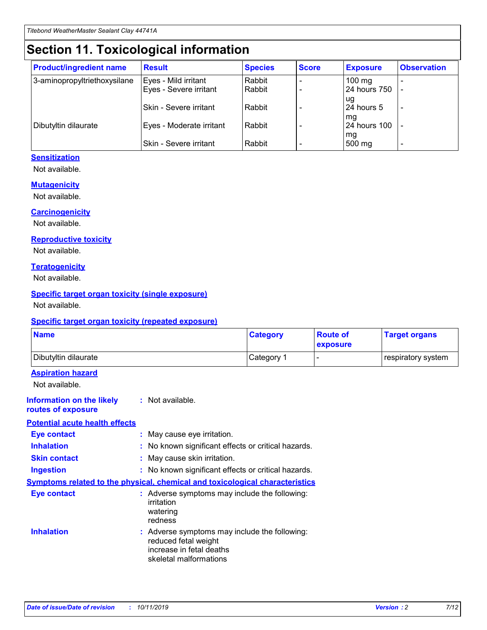## **Section 11. Toxicological information**

| <b>Product/ingredient name</b> | <b>Result</b>                 | <b>Species</b> | <b>Score</b> | <b>Exposure</b>    | <b>Observation</b> |
|--------------------------------|-------------------------------|----------------|--------------|--------------------|--------------------|
| 3-aminopropyltriethoxysilane   | Eyes - Mild irritant          | Rabbit         |              | $100$ mg           |                    |
|                                | Eyes - Severe irritant        | Rabbit         |              | 24 hours 750       |                    |
|                                |                               |                |              | ug                 |                    |
|                                | <b>Skin - Severe irritant</b> | Rabbit         |              | 24 hours 5         | ۰                  |
| Dibutyltin dilaurate           | Eyes - Moderate irritant      | Rabbit         |              | mq<br>24 hours 100 |                    |
|                                |                               |                |              | mg                 |                    |
|                                | Skin - Severe irritant        | Rabbit         |              | 500 mg             |                    |

#### **Sensitization**

Not available.

#### **Mutagenicity**

Not available.

#### **Carcinogenicity**

Not available.

#### **Reproductive toxicity**

Not available.

#### **Teratogenicity**

Not available.

#### **Specific target organ toxicity (single exposure)**

Not available.

#### **Specific target organ toxicity (repeated exposure)**

| <b>Name</b>                                                                         |                                                                            | <b>Category</b>                                     | <b>Route of</b><br>exposure | <b>Target organs</b> |
|-------------------------------------------------------------------------------------|----------------------------------------------------------------------------|-----------------------------------------------------|-----------------------------|----------------------|
| Dibutyltin dilaurate                                                                |                                                                            | Category 1                                          | -                           | respiratory system   |
| <b>Aspiration hazard</b><br>Not available.                                          |                                                                            |                                                     |                             |                      |
| <b>Information on the likely</b><br>routes of exposure                              | : Not available.                                                           |                                                     |                             |                      |
| <b>Potential acute health effects</b>                                               |                                                                            |                                                     |                             |                      |
| <b>Eye contact</b>                                                                  | : May cause eye irritation.                                                |                                                     |                             |                      |
| <b>Inhalation</b>                                                                   |                                                                            | : No known significant effects or critical hazards. |                             |                      |
| <b>Skin contact</b>                                                                 | : May cause skin irritation.                                               |                                                     |                             |                      |
| <b>Ingestion</b>                                                                    |                                                                            | : No known significant effects or critical hazards. |                             |                      |
| <b>Symptoms related to the physical, chemical and toxicological characteristics</b> |                                                                            |                                                     |                             |                      |
| <b>Eye contact</b>                                                                  | irritation<br>watering<br>redness                                          | : Adverse symptoms may include the following:       |                             |                      |
| <b>Inhalation</b>                                                                   | reduced fetal weight<br>increase in fetal deaths<br>skeletal malformations | : Adverse symptoms may include the following:       |                             |                      |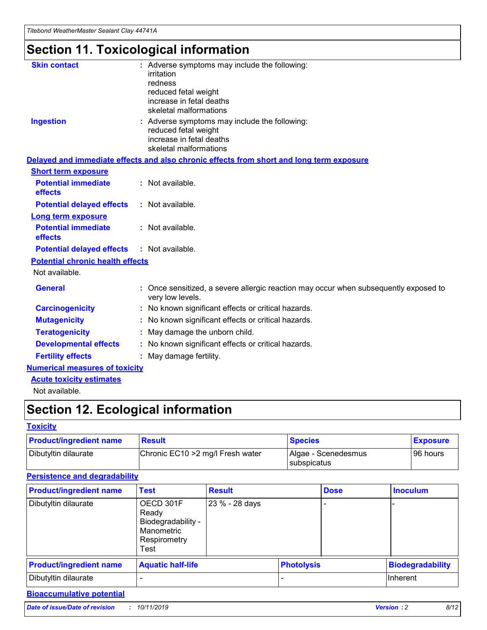# **Section 11. Toxicological information**

| <b>Skin contact</b>                     | : Adverse symptoms may include the following:                                                            |
|-----------------------------------------|----------------------------------------------------------------------------------------------------------|
|                                         | irritation                                                                                               |
|                                         | redness                                                                                                  |
|                                         | reduced fetal weight                                                                                     |
|                                         | increase in fetal deaths                                                                                 |
|                                         | skeletal malformations                                                                                   |
| <b>Ingestion</b>                        | : Adverse symptoms may include the following:                                                            |
|                                         | reduced fetal weight                                                                                     |
|                                         | increase in fetal deaths                                                                                 |
|                                         | skeletal malformations                                                                                   |
|                                         | Delayed and immediate effects and also chronic effects from short and long term exposure                 |
| <b>Short term exposure</b>              |                                                                                                          |
| <b>Potential immediate</b>              | : Not available.                                                                                         |
| effects                                 |                                                                                                          |
| <b>Potential delayed effects</b>        | : Not available.                                                                                         |
| Long term exposure                      |                                                                                                          |
| <b>Potential immediate</b>              | : Not available.                                                                                         |
| effects                                 |                                                                                                          |
| <b>Potential delayed effects</b>        | : Not available.                                                                                         |
| <b>Potential chronic health effects</b> |                                                                                                          |
| Not available.                          |                                                                                                          |
| <b>General</b>                          | : Once sensitized, a severe allergic reaction may occur when subsequently exposed to<br>very low levels. |
| <b>Carcinogenicity</b>                  | : No known significant effects or critical hazards.                                                      |
| <b>Mutagenicity</b>                     | No known significant effects or critical hazards.                                                        |
| <b>Teratogenicity</b>                   | May damage the unborn child.                                                                             |
| <b>Developmental effects</b>            | No known significant effects or critical hazards.                                                        |
| <b>Fertility effects</b>                | : May damage fertility.                                                                                  |
| <b>Numerical measures of toxicity</b>   |                                                                                                          |
| <b>Acute toxicity estimates</b>         |                                                                                                          |
|                                         |                                                                                                          |

Not available.

## **Section 12. Ecological information**

#### **Toxicity**

| <b>Product/ingredient name</b> | <b>Result</b>                     | <b>Species</b>                       | <b>Exposure</b> |
|--------------------------------|-----------------------------------|--------------------------------------|-----------------|
| Dibutyltin dilaurate           | Chronic EC10 > 2 mg/l Fresh water | Algae - Scenedesmus<br>I subspicatus | l 96 hours      |

#### **Persistence and degradability**

| <b>Product/ingredient name</b> | Test                                                                           | <b>Result</b>  |                   | <b>Dose</b> | <b>Inoculum</b>         |
|--------------------------------|--------------------------------------------------------------------------------|----------------|-------------------|-------------|-------------------------|
| Dibutyltin dilaurate           | OECD 301F<br>Ready<br>Biodegradability -<br>Manometric<br>Respirometry<br>Test | 23 % - 28 days |                   |             |                         |
| <b>Product/ingredient name</b> | <b>Aquatic half-life</b>                                                       |                | <b>Photolysis</b> |             | <b>Biodegradability</b> |
| Dibutyltin dilaurate           |                                                                                |                |                   |             | Inherent                |

### **Bioaccumulative potential**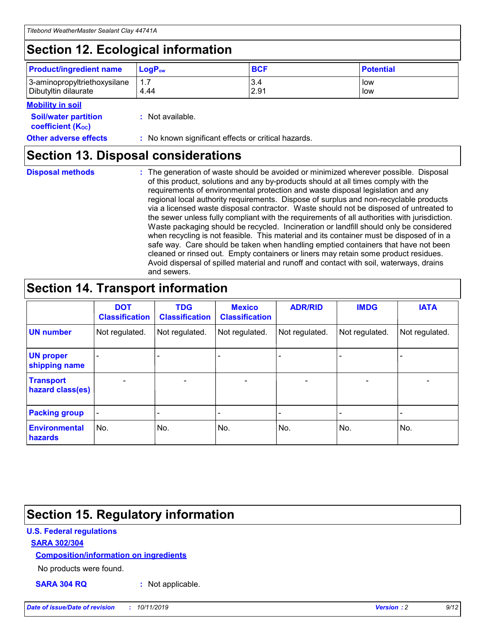## **Section 12. Ecological information**

| <b>Product/ingredient name</b> | $LoaPow$ | <b>BCF</b> | <b>Potential</b> |
|--------------------------------|----------|------------|------------------|
| 3-aminopropyltriethoxysilane   | 1.7      | 3.4        | low              |
| Dibutyltin dilaurate           | 4.44     | 2.91       | low              |

#### **Mobility in soil**

| <b>Soil/water partition</b><br>coefficient (K <sub>oc</sub> ) | : Not available.                                    |
|---------------------------------------------------------------|-----------------------------------------------------|
| <b>Other adverse effects</b>                                  | : No known significant effects or critical hazards. |

### **Section 13. Disposal considerations**

**Disposal methods :**

The generation of waste should be avoided or minimized wherever possible. Disposal of this product, solutions and any by-products should at all times comply with the requirements of environmental protection and waste disposal legislation and any regional local authority requirements. Dispose of surplus and non-recyclable products via a licensed waste disposal contractor. Waste should not be disposed of untreated to the sewer unless fully compliant with the requirements of all authorities with jurisdiction. Waste packaging should be recycled. Incineration or landfill should only be considered when recycling is not feasible. This material and its container must be disposed of in a safe way. Care should be taken when handling emptied containers that have not been cleaned or rinsed out. Empty containers or liners may retain some product residues. Avoid dispersal of spilled material and runoff and contact with soil, waterways, drains and sewers.

## **Section 14. Transport information**

|                                      | <b>DOT</b><br><b>Classification</b> | <b>TDG</b><br><b>Classification</b> | <b>Mexico</b><br><b>Classification</b> | <b>ADR/RID</b>           | <b>IMDG</b>     | <b>IATA</b>              |
|--------------------------------------|-------------------------------------|-------------------------------------|----------------------------------------|--------------------------|-----------------|--------------------------|
| <b>UN number</b>                     | Not regulated.                      | Not regulated.                      | Not regulated.                         | Not regulated.           | Not regulated.  | Not regulated.           |
| <b>UN proper</b><br>shipping name    | $\qquad \qquad$                     |                                     |                                        |                          |                 |                          |
| <b>Transport</b><br>hazard class(es) | $\overline{\phantom{m}}$            | $\qquad \qquad$                     | $\qquad \qquad$                        | $\overline{\phantom{a}}$ | $\qquad \qquad$ | $\overline{\phantom{0}}$ |
| <b>Packing group</b>                 | $\overline{\phantom{a}}$            | -                                   |                                        |                          |                 |                          |
| <b>Environmental</b><br>hazards      | No.                                 | No.                                 | No.                                    | No.                      | No.             | No.                      |

## **Section 15. Regulatory information**

#### **U.S. Federal regulations**

#### **SARA 302/304**

#### **Composition/information on ingredients**

No products were found.

**SARA 304 RQ :** Not applicable.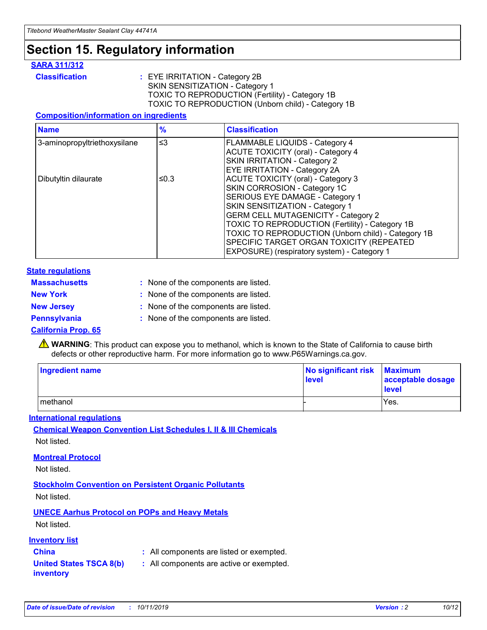## **Section 15. Regulatory information**

#### **SARA 311/312**

**Classification :** EYE IRRITATION - Category 2B SKIN SENSITIZATION - Category 1 TOXIC TO REPRODUCTION (Fertility) - Category 1B TOXIC TO REPRODUCTION (Unborn child) - Category 1B

#### **Composition/information on ingredients**

| <b>Name</b>                  | $\frac{9}{6}$ | <b>Classification</b>                                                                                            |
|------------------------------|---------------|------------------------------------------------------------------------------------------------------------------|
| 3-aminopropyltriethoxysilane | $\leq$ 3      | <b>FLAMMABLE LIQUIDS - Category 4</b><br><b>ACUTE TOXICITY (oral) - Category 4</b>                               |
|                              |               | SKIN IRRITATION - Category 2<br>EYE IRRITATION - Category 2A                                                     |
| Dibutyltin dilaurate         | ≤0.3          | ACUTE TOXICITY (oral) - Category 3<br>SKIN CORROSION - Category 1C                                               |
|                              |               | SERIOUS EYE DAMAGE - Category 1<br>SKIN SENSITIZATION - Category 1<br><b>GERM CELL MUTAGENICITY - Category 2</b> |
|                              |               | TOXIC TO REPRODUCTION (Fertility) - Category 1B<br>TOXIC TO REPRODUCTION (Unborn child) - Category 1B            |
|                              |               | SPECIFIC TARGET ORGAN TOXICITY (REPEATED<br>EXPOSURE) (respiratory system) - Category 1                          |

#### **State regulations**

| <b>Massachusetts</b> | : None of the components are listed. |
|----------------------|--------------------------------------|
| <b>New York</b>      | : None of the components are listed. |
| <b>New Jersey</b>    | : None of the components are listed. |
| Pennsylvania         | : None of the components are listed. |

#### **California Prop. 65**

**A** WARNING: This product can expose you to methanol, which is known to the State of California to cause birth defects or other reproductive harm. For more information go to www.P65Warnings.ca.gov.

| <b>Ingredient name</b> | No significant risk Maximum<br>level | acceptable dosage<br>level |
|------------------------|--------------------------------------|----------------------------|
| methanol               |                                      | Yes.                       |

#### **International regulations**

**Chemical Weapon Convention List Schedules I, II & III Chemicals** Not listed.

#### **Montreal Protocol**

Not listed.

**Stockholm Convention on Persistent Organic Pollutants**

Not listed.

### **UNECE Aarhus Protocol on POPs and Heavy Metals**

Not listed.

#### **Inventory list**

### **China :** All components are listed or exempted.

**United States TSCA 8(b) inventory :** All components are active or exempted.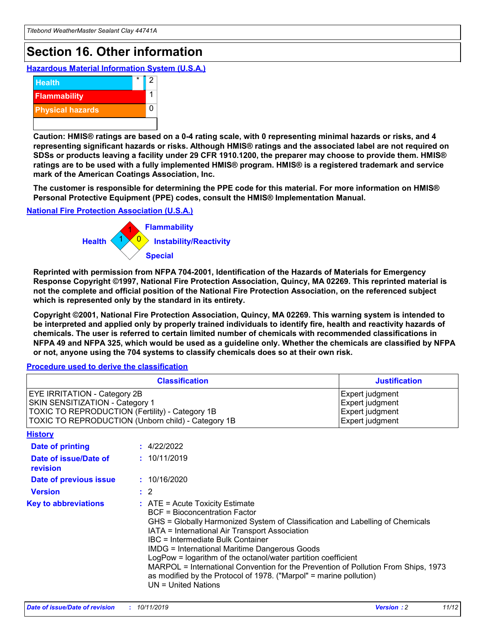## **Section 16. Other information**

**Hazardous Material Information System (U.S.A.)**



**Caution: HMIS® ratings are based on a 0-4 rating scale, with 0 representing minimal hazards or risks, and 4 representing significant hazards or risks. Although HMIS® ratings and the associated label are not required on SDSs or products leaving a facility under 29 CFR 1910.1200, the preparer may choose to provide them. HMIS® ratings are to be used with a fully implemented HMIS® program. HMIS® is a registered trademark and service mark of the American Coatings Association, Inc.**

**The customer is responsible for determining the PPE code for this material. For more information on HMIS® Personal Protective Equipment (PPE) codes, consult the HMIS® Implementation Manual.**

#### **National Fire Protection Association (U.S.A.)**



**Reprinted with permission from NFPA 704-2001, Identification of the Hazards of Materials for Emergency Response Copyright ©1997, National Fire Protection Association, Quincy, MA 02269. This reprinted material is not the complete and official position of the National Fire Protection Association, on the referenced subject which is represented only by the standard in its entirety.**

**Copyright ©2001, National Fire Protection Association, Quincy, MA 02269. This warning system is intended to be interpreted and applied only by properly trained individuals to identify fire, health and reactivity hazards of chemicals. The user is referred to certain limited number of chemicals with recommended classifications in NFPA 49 and NFPA 325, which would be used as a guideline only. Whether the chemicals are classified by NFPA or not, anyone using the 704 systems to classify chemicals does so at their own risk.**

#### **Procedure used to derive the classification**

| <b>Classification</b>                                                                                                                                                    |                                                                                                                                                                                                                                                                                                                                                                                                                                                                                                                                                               | <b>Justification</b>                                                     |
|--------------------------------------------------------------------------------------------------------------------------------------------------------------------------|---------------------------------------------------------------------------------------------------------------------------------------------------------------------------------------------------------------------------------------------------------------------------------------------------------------------------------------------------------------------------------------------------------------------------------------------------------------------------------------------------------------------------------------------------------------|--------------------------------------------------------------------------|
| EYE IRRITATION - Category 2B<br>SKIN SENSITIZATION - Category 1<br>TOXIC TO REPRODUCTION (Fertility) - Category 1B<br>TOXIC TO REPRODUCTION (Unborn child) - Category 1B |                                                                                                                                                                                                                                                                                                                                                                                                                                                                                                                                                               | Expert judgment<br>Expert judgment<br>Expert judgment<br>Expert judgment |
| <b>History</b>                                                                                                                                                           |                                                                                                                                                                                                                                                                                                                                                                                                                                                                                                                                                               |                                                                          |
| <b>Date of printing</b>                                                                                                                                                  | : 4/22/2022                                                                                                                                                                                                                                                                                                                                                                                                                                                                                                                                                   |                                                                          |
| Date of issue/Date of<br>revision                                                                                                                                        | : 10/11/2019                                                                                                                                                                                                                                                                                                                                                                                                                                                                                                                                                  |                                                                          |
| Date of previous issue                                                                                                                                                   | : 10/16/2020                                                                                                                                                                                                                                                                                                                                                                                                                                                                                                                                                  |                                                                          |
| <b>Version</b>                                                                                                                                                           | $\therefore$ 2                                                                                                                                                                                                                                                                                                                                                                                                                                                                                                                                                |                                                                          |
| <b>Key to abbreviations</b>                                                                                                                                              | $:$ ATE = Acute Toxicity Estimate<br><b>BCF</b> = Bioconcentration Factor<br>GHS = Globally Harmonized System of Classification and Labelling of Chemicals<br>IATA = International Air Transport Association<br>IBC = Intermediate Bulk Container<br><b>IMDG = International Maritime Dangerous Goods</b><br>LogPow = logarithm of the octanol/water partition coefficient<br>MARPOL = International Convention for the Prevention of Pollution From Ships, 1973<br>as modified by the Protocol of 1978. ("Marpol" = marine pollution)<br>UN = United Nations |                                                                          |